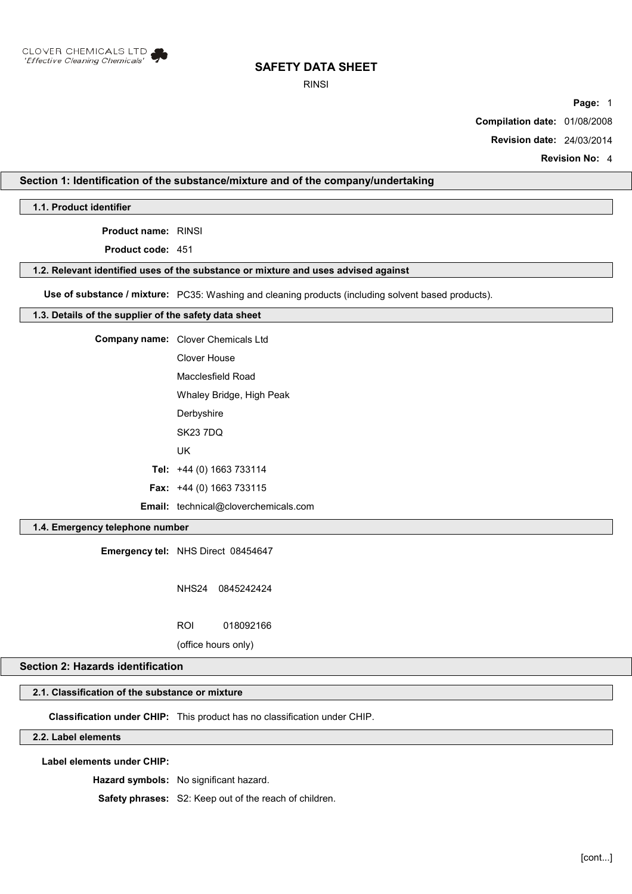

RINSI

**Page:** 1

**Compilation date:** 01/08/2008

**Revision date:** 24/03/2014

**Revision No:** 4

## **Section 1: Identification of the substance/mixture and of the company/undertaking**

**1.1. Product identifier**

**Product name:** RINSI

**Product code:** 451

#### **1.2. Relevant identified uses of the substance or mixture and uses advised against**

**Use of substance / mixture:** PC35: Washing and cleaning products (including solvent based products).

#### **1.3. Details of the supplier of the safety data sheet**

| <b>Company name:</b> Clover Chemicals Ltd   |  |
|---------------------------------------------|--|
| Clover House                                |  |
| Macclesfield Road                           |  |
| Whaley Bridge, High Peak                    |  |
| Derbyshire                                  |  |
| <b>SK23 7DQ</b>                             |  |
| UK                                          |  |
| Tel: $+44$ (0) 1663 733114                  |  |
| <b>Fax:</b> $+44$ (0) 1663 733115           |  |
| <b>Email:</b> technical@cloverchemicals.com |  |

## **1.4. Emergency telephone number**

**Emergency tel:** NHS Direct 08454647

NHS24 0845242424

ROI 018092166

(office hours only)

## **Section 2: Hazards identification**

# **2.1. Classification of the substance or mixture**

**Classification under CHIP:** This product has no classification under CHIP.

# **2.2. Label elements**

**Label elements under CHIP:**

**Hazard symbols:** No significant hazard.

**Safety phrases:** S2: Keep out of the reach of children.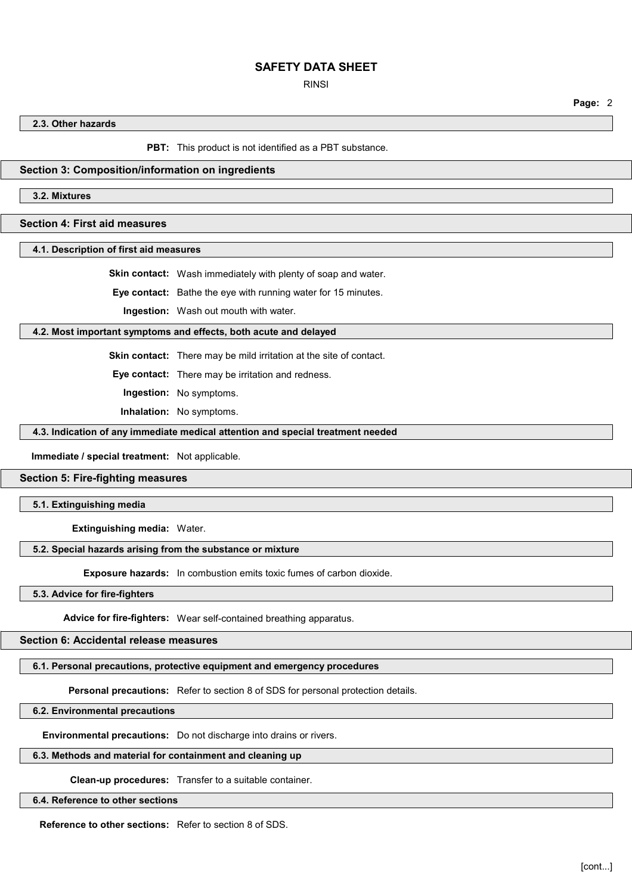RINSI

**Page:** 2

**2.3. Other hazards**

**PBT:** This product is not identified as a PBT substance.

#### **Section 3: Composition/information on ingredients**

**3.2. Mixtures**

## **Section 4: First aid measures**

**4.1. Description of first aid measures**

**Skin contact:** Wash immediately with plenty of soap and water.

**Eye contact:** Bathe the eye with running water for 15 minutes.

**Ingestion:** Wash out mouth with water.

#### **4.2. Most important symptoms and effects, both acute and delayed**

**Skin contact:** There may be mild irritation at the site of contact.

**Eye contact:** There may be irritation and redness.

**Ingestion:** No symptoms.

**Inhalation:** No symptoms.

#### **4.3. Indication of any immediate medical attention and special treatment needed**

**Immediate / special treatment:** Not applicable.

#### **Section 5: Fire-fighting measures**

**5.1. Extinguishing media**

**Extinguishing media:** Water.

#### **5.2. Special hazards arising from the substance or mixture**

**Exposure hazards:** In combustion emits toxic fumes of carbon dioxide.

**5.3. Advice for fire-fighters**

**Advice for fire-fighters:** Wear self-contained breathing apparatus.

#### **Section 6: Accidental release measures**

# **6.1. Personal precautions, protective equipment and emergency procedures**

**Personal precautions:** Refer to section 8 of SDS for personal protection details.

#### **6.2. Environmental precautions**

**Environmental precautions:** Do not discharge into drains or rivers.

#### **6.3. Methods and material for containment and cleaning up**

**Clean-up procedures:** Transfer to a suitable container.

#### **6.4. Reference to other sections**

**Reference to other sections:** Refer to section 8 of SDS.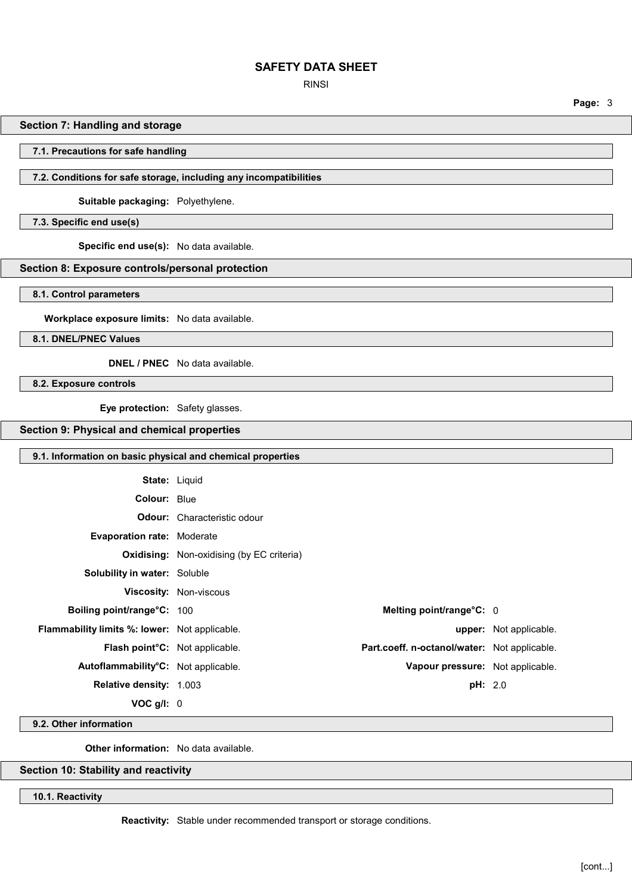RINSI

**Page:** 3

## **Section 7: Handling and storage**

#### **7.1. Precautions for safe handling**

## **7.2. Conditions for safe storage, including any incompatibilities**

**Suitable packaging:** Polyethylene.

**7.3. Specific end use(s)**

**Specific end use(s):** No data available.

## **Section 8: Exposure controls/personal protection**

**8.1. Control parameters**

**Workplace exposure limits:** No data available.

**8.1. DNEL/PNEC Values**

**DNEL / PNEC** No data available.

**8.2. Exposure controls**

**Eye protection:** Safety glasses.

# **Section 9: Physical and chemical properties**

#### **9.1. Information on basic physical and chemical properties**

| <b>State: Liquid</b>                                 |                                                  |                                                     |                               |
|------------------------------------------------------|--------------------------------------------------|-----------------------------------------------------|-------------------------------|
| Colour: Blue                                         |                                                  |                                                     |                               |
|                                                      | <b>Odour:</b> Characteristic odour               |                                                     |                               |
| <b>Evaporation rate: Moderate</b>                    |                                                  |                                                     |                               |
|                                                      | <b>Oxidising:</b> Non-oxidising (by EC criteria) |                                                     |                               |
| <b>Solubility in water: Soluble</b>                  |                                                  |                                                     |                               |
|                                                      | <b>Viscosity: Non-viscous</b>                    |                                                     |                               |
| Boiling point/range°C: 100                           |                                                  | Melting point/range°C: 0                            |                               |
| <b>Flammability limits %: lower:</b> Not applicable. |                                                  |                                                     | <b>upper:</b> Not applicable. |
| Flash point°C: Not applicable.                       |                                                  | <b>Part.coeff. n-octanol/water:</b> Not applicable. |                               |
| Autoflammability <sup>°</sup> C: Not applicable.     |                                                  | Vapour pressure: Not applicable.                    |                               |
| <b>Relative density: 1.003</b>                       |                                                  | pH: 2.0                                             |                               |
| $VOC$ g/l: $0$                                       |                                                  |                                                     |                               |

**9.2. Other information**

**Other information:** No data available.

## **Section 10: Stability and reactivity**

**10.1. Reactivity**

**Reactivity:** Stable under recommended transport or storage conditions.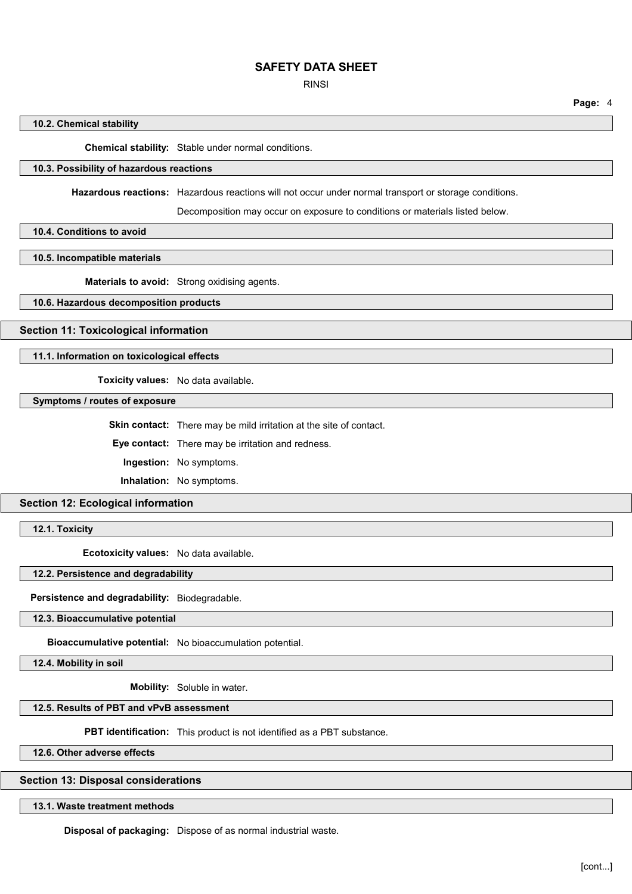RINSI

**Page:** 4

### **10.2. Chemical stability**

**Chemical stability:** Stable under normal conditions.

## **10.3. Possibility of hazardous reactions**

**Hazardous reactions:** Hazardous reactions will not occur under normal transport or storage conditions.

Decomposition may occur on exposure to conditions or materials listed below.

**10.4. Conditions to avoid**

**10.5. Incompatible materials**

**Materials to avoid:** Strong oxidising agents.

**10.6. Hazardous decomposition products**

**Section 11: Toxicological information**

**11.1. Information on toxicological effects**

**Toxicity values:** No data available.

**Symptoms / routes of exposure**

**Skin contact:** There may be mild irritation at the site of contact.

**Eye contact:** There may be irritation and redness.

**Ingestion:** No symptoms.

**Inhalation:** No symptoms.

**Section 12: Ecological information**

**12.1. Toxicity**

**Ecotoxicity values:** No data available.

**12.2. Persistence and degradability**

**Persistence and degradability:** Biodegradable.

**12.3. Bioaccumulative potential**

**Bioaccumulative potential:** No bioaccumulation potential.

**12.4. Mobility in soil**

**Mobility:** Soluble in water.

#### **12.5. Results of PBT and vPvB assessment**

**PBT identification:** This product is not identified as a PBT substance.

**12.6. Other adverse effects**

**Section 13: Disposal considerations**

**13.1. Waste treatment methods**

**Disposal of packaging:** Dispose of as normal industrial waste.